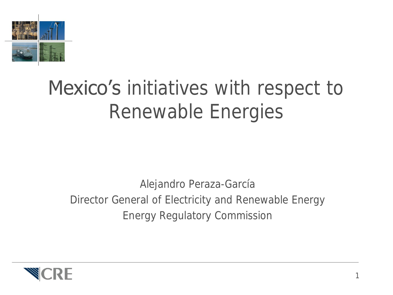

### Mexico's initiatives with respect to Renewable Energies

Alejandro Peraza-García Director General of Electricity and Renewable Energy Energy Regulatory Commission

1

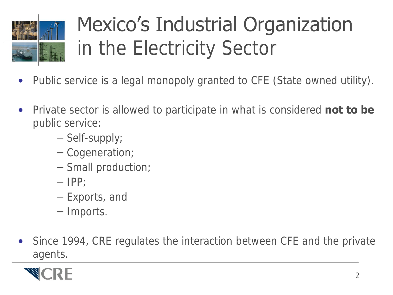

# Mexico's Industrial Organization in the Electricity Sector

- Public service is a legal monopoly granted to CFE (State owned utility).
- Private sector is allowed to participate in what is considered **not to be**  public service:
	- Self-supply;
	- Cogeneration;
	- Small production;
	- $-$  IPP;
	- Exports, and
	- Imports.
- Since 1994, CRE regulates the interaction between CFE and the private agents.

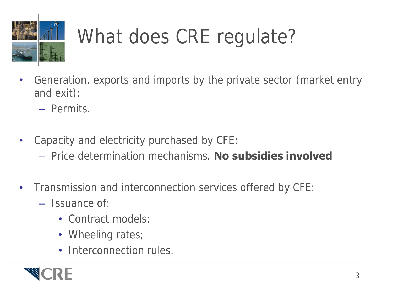

- Generation, exports and imports by the private sector (market entry and exit):
	- Permits.
- Capacity and electricity purchased by CFE:
	- Price determination mechanisms. **No subsidies involved**
- Transmission and interconnection services offered by CFE:
	- Issuance of:
		- Contract models;
		- Wheeling rates;
		- Interconnection rules.

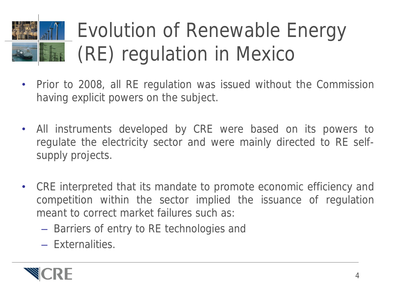# Evolution of Renewable Energy **EDEC** (RE) regulation in Mexico

- Prior to 2008, all RE regulation was issued without the Commission having explicit powers on the subject.
- All instruments developed by CRE were based on its powers to regulate the electricity sector and were mainly directed to RE selfsupply projects.
- CRE interpreted that its mandate to promote economic efficiency and competition within the sector implied the issuance of regulation meant to correct market failures such as:
	- Barriers of entry to RE technologies and
	- Externalities.

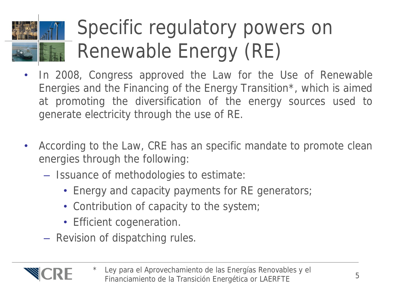

### Specific regulatory powers on Renewable Energy (RE)

- In 2008, Congress approved the Law for the Use of Renewable Energies and the Financing of the Energy Transition\*, which is aimed at promoting the diversification of the energy sources used to generate electricity through the use of RE.
- According to the Law, CRE has an specific mandate to promote clean energies through the following:
	- Issuance of methodologies to estimate:
		- Energy and capacity payments for RE generators;
		- Contribution of capacity to the system;
		- Efficient cogeneration.
	- Revision of dispatching rules.



Ley para el Aprovechamiento de las Energías Renovables y el Financiamiento de la Transición Energética or LAERFTE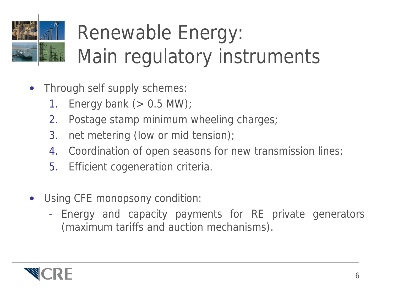# Renewable Energy: Main regulatory instruments

- Through self supply schemes:
	- 1. Energy bank  $(> 0.5$  MW);
	- 2. Postage stamp minimum wheeling charges;
	- 3. net metering (low or mid tension);
	- 4. Coordination of open seasons for new transmission lines;
	- 5. Efficient cogeneration criteria.
- Using CFE monopsony condition:
	- Energy and capacity payments for RE private generators (maximum tariffs and auction mechanisms).

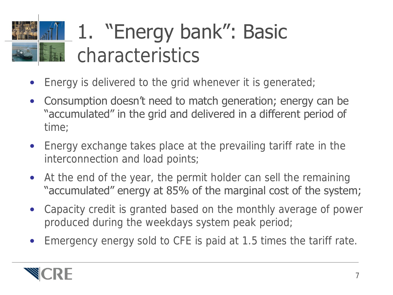# 1. "Energy bank": Basic **ELECTED** characteristics

- Energy is delivered to the grid whenever it is generated;
- Consumption doesn't need to match generation; energy can be "accumulated" in the grid and delivered in a different period of time;
- Energy exchange takes place at the prevailing tariff rate in the interconnection and load points;
- At the end of the year, the permit holder can sell the remaining "accumulated" energy at 85% of the marginal cost of the system;
- Capacity credit is granted based on the monthly average of power produced during the weekdays system peak period;
- Emergency energy sold to CFE is paid at 1.5 times the tariff rate.

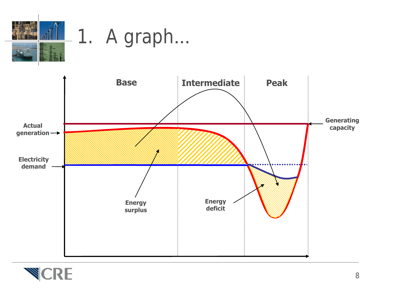

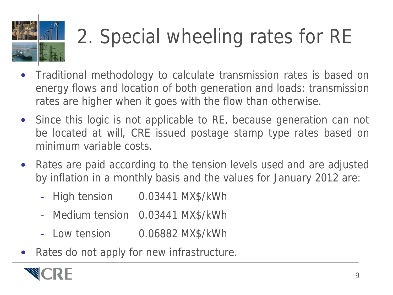# 2. Special wheeling rates for RE

- Traditional methodology to calculate transmission rates is based on energy flows and location of both generation and loads: transmission rates are higher when it goes with the flow than otherwise.
- Since this logic is not applicable to RE, because generation can not be located at will, CRE issued postage stamp type rates based on minimum variable costs.
- Rates are paid according to the tension levels used and are adjusted by inflation in a monthly basis and the values for January 2012 are:
	- High tension 0.03441 MX\$/kWh
	- Medium tension 0.03441 MX\$/kWh
	- Low tension 0.06882 MX\$/kWh
- Rates do not apply for new infrastructure.

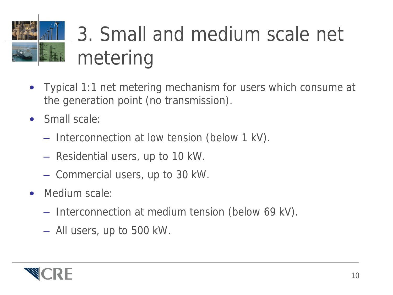# 3. Small and medium scale net metering

- Typical 1:1 net metering mechanism for users which consume at the generation point (no transmission).
- Small scale:
	- Interconnection at low tension (below 1 kV).
	- Residential users, up to 10 kW.
	- Commercial users, up to 30 kW.
- Medium scale:
	- Interconnection at medium tension (below 69 kV).
	- All users, up to 500 kW.

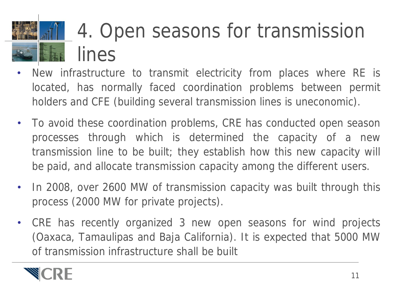# 4. Open seasons for transmission lines

- New infrastructure to transmit electricity from places where RE is located, has normally faced coordination problems between permit holders and CFE (building several transmission lines is uneconomic).
- To avoid these coordination problems, CRE has conducted open season processes through which is determined the capacity of a new transmission line to be built; they establish how this new capacity will be paid, and allocate transmission capacity among the different users.
- In 2008, over 2600 MW of transmission capacity was built through this process (2000 MW for private projects).
- CRE has recently organized 3 new open seasons for wind projects (Oaxaca, Tamaulipas and Baja California). It is expected that 5000 MW of transmission infrastructure shall be built

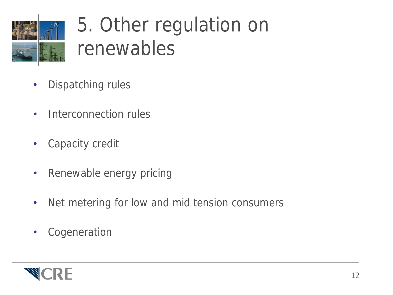

### 5. Other regulation on renewables

- Dispatching rules
- Interconnection rules
- Capacity credit
- Renewable energy pricing
- Net metering for low and mid tension consumers
- Cogeneration